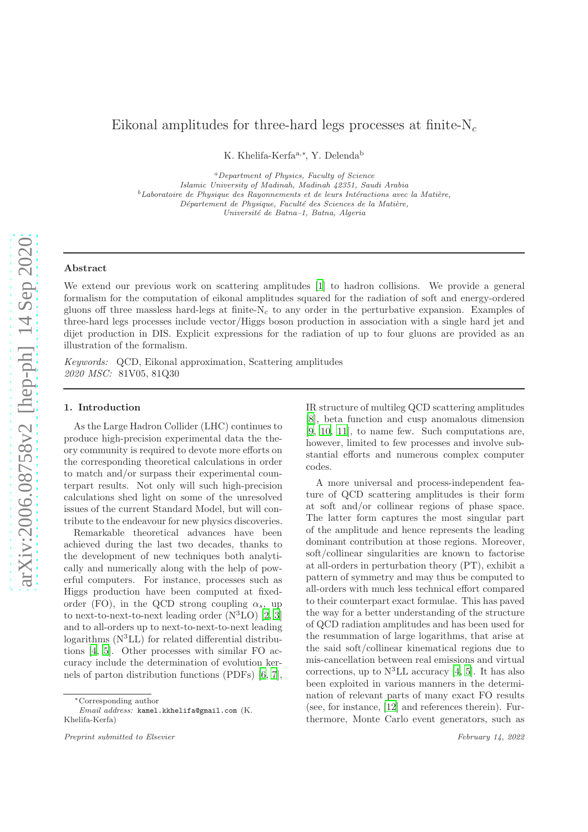# Eikonal amplitudes for three-hard legs processes at finite- $N_c$

K. Khelifa-Kerfa<sup>a,∗</sup>, Y. Delenda<sup>b</sup>

<sup>a</sup>Department of Physics, Faculty of Science Islamic University of Madinah, Madinah 42351, Saudi Arabia  $b$ Laboratoire de Physique des Rayonnements et de leurs Intéractions avec la Matière, Département de Physique, Faculté des Sciences de la Matière, Université de Batna–1, Batna, Algeria

#### Abstract

We extend our previous work on scattering amplitudes [\[1\]](#page-6-0) to hadron collisions. We provide a general formalism for the computation of eikonal amplitudes squared for the radiation of soft and energy-ordered gluons off three massless hard-legs at finite- $N_c$  to any order in the perturbative expansion. Examples of three-hard legs processes include vector/Higgs boson production in association with a single hard jet and dijet production in DIS. Explicit expressions for the radiation of up to four gluons are provided as an illustration of the formalism.

*Keywords:* QCD, Eikonal approximation, Scattering amplitudes *2020 MSC:* 81V05, 81Q30

# 1. Introduction

As the Large Hadron Collider (LHC) continues to produce high-precision experimental data the theory community is required to devote more efforts on the corresponding theoretical calculations in order to match and/or surpass their experimental counterpart results. Not only will such high-precision calculations shed light on some of the unresolved issues of the current Standard Model, but will contribute to the endeavour for new physics discoveries.

Remarkable theoretical advances have been achieved during the last two decades, thanks to the development of new techniques both analytically and numerically along with the help of powerful computers. For instance, processes such as Higgs production have been computed at fixedorder (FO), in the QCD strong coupling  $\alpha_s$ , up to next-to-next-to-next leading order  $(N^3LO)$  [\[2](#page-6-1), [3\]](#page-6-2) and to all-orders up to next-to-next-to-next leading logarithms  $(N<sup>3</sup>LL)$  for related differential distributions [\[4,](#page-6-3) [5\]](#page-6-4). Other processes with similar FO accuracy include the determination of evolution kernels of parton distribution functions (PDFs) [\[6](#page-6-5), [7](#page-6-6)], IR structure of multileg QCD scattering amplitudes [\[8](#page-6-7)], beta function and cusp anomalous dimension [\[9](#page-6-8), [10](#page-6-9), [11](#page-6-10)], to name few. Such computations are, however, limited to few processes and involve substantial efforts and numerous complex computer codes.

A more universal and process-independent feature of QCD scattering amplitudes is their form at soft and/or collinear regions of phase space. The latter form captures the most singular part of the amplitude and hence represents the leading dominant contribution at those regions. Moreover, soft/collinear singularities are known to factorise at all-orders in perturbation theory (PT), exhibit a pattern of symmetry and may thus be computed to all-orders with much less technical effort compared to their counterpart exact formulae. This has paved the way for a better understanding of the structure of QCD radiation amplitudes and has been used for the resummation of large logarithms, that arise at the said soft/collinear kinematical regions due to mis-cancellation between real emissions and virtual corrections, up to  $N^3LL$  accuracy [\[4](#page-6-3), [5](#page-6-4)]. It has also been exploited in various manners in the determination of relevant parts of many exact FO results (see, for instance, [\[12\]](#page-6-11) and references therein). Furthermore, Monte Carlo event generators, such as

<sup>∗</sup>Corresponding author

Email address: kamel.kkhelifa@gmail.com (K. Khelifa-Kerfa)

Preprint submitted to Elsevier  $\blacksquare$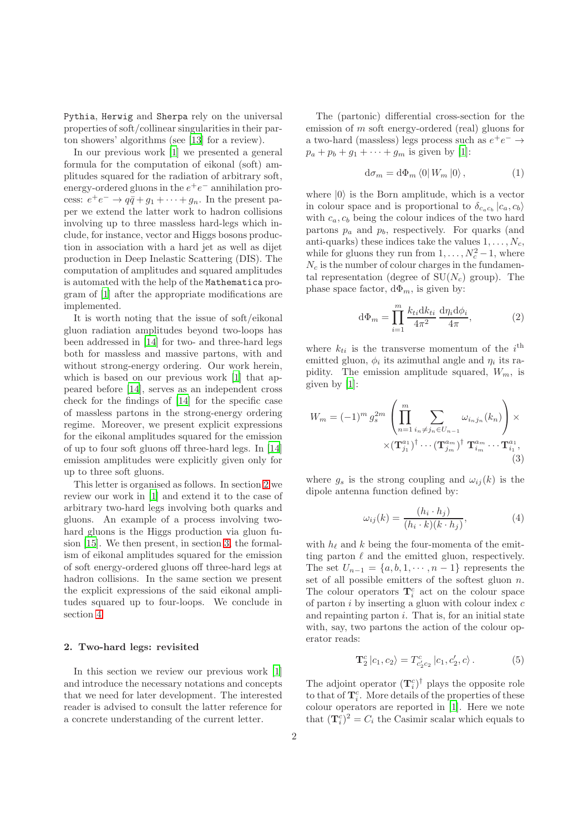Pythia, Herwig and Sherpa rely on the universal properties of soft/collinear singularities in their parton showers' algorithms (see [\[13\]](#page-6-12) for a review).

In our previous work [\[1\]](#page-6-0) we presented a general formula for the computation of eikonal (soft) amplitudes squared for the radiation of arbitrary soft, energy-ordered gluons in the  $e^+e^-$  annihilation process:  $e^+e^- \rightarrow q\bar{q} + g_1 + \cdots + g_n$ . In the present paper we extend the latter work to hadron collisions involving up to three massless hard-legs which include, for instance, vector and Higgs bosons production in association with a hard jet as well as dijet production in Deep Inelastic Scattering (DIS). The computation of amplitudes and squared amplitudes is automated with the help of the Mathematica program of [\[1\]](#page-6-0) after the appropriate modifications are implemented.

It is worth noting that the issue of soft/eikonal gluon radiation amplitudes beyond two-loops has been addressed in [\[14\]](#page-6-13) for two- and three-hard legs both for massless and massive partons, with and without strong-energy ordering. Our work herein, which is based on our previous work [\[1\]](#page-6-0) that appeared before [\[14\]](#page-6-13), serves as an independent cross check for the findings of [\[14\]](#page-6-13) for the specific case of massless partons in the strong-energy ordering regime. Moreover, we present explicit expressions for the eikonal amplitudes squared for the emission of up to four soft gluons off three-hard legs. In [\[14\]](#page-6-13) emission amplitudes were explicitly given only for up to three soft gluons.

This letter is organised as follows. In section [2](#page-1-0) we review our work in [\[1](#page-6-0)] and extend it to the case of arbitrary two-hard legs involving both quarks and gluons. An example of a process involving twohard gluons is the Higgs production via gluon fusion [\[15](#page-6-14)]. We then present, in section [3,](#page-2-0) the formalism of eikonal amplitudes squared for the emission of soft energy-ordered gluons off three-hard legs at hadron collisions. In the same section we present the explicit expressions of the said eikonal amplitudes squared up to four-loops. We conclude in section [4.](#page-5-0)

### <span id="page-1-0"></span>2. Two-hard legs: revisited

In this section we review our previous work [\[1\]](#page-6-0) and introduce the necessary notations and concepts that we need for later development. The interested reader is advised to consult the latter reference for a concrete understanding of the current letter.

The (partonic) differential cross-section for the emission of m soft energy-ordered (real) gluons for a two-hard (massless) legs process such as  $e^+e^- \rightarrow$  $p_a + p_b + g_1 + \cdots + g_m$  is given by [\[1](#page-6-0)]:

<span id="page-1-3"></span>
$$
d\sigma_m = d\Phi_m \left\langle 0 \right| W_m \left| 0 \right\rangle, \tag{1}
$$

where  $|0\rangle$  is the Born amplitude, which is a vector in colour space and is proportional to  $\delta_{c_a c_b} |c_a, c_b\rangle$ with  $c_a, c_b$  being the colour indices of the two hard partons  $p_a$  and  $p_b$ , respectively. For quarks (and anti-quarks) these indices take the values  $1, \ldots, N_c$ , while for gluons they run from  $1, \ldots, N_c^2 - 1$ , where  $N_c$  is the number of colour charges in the fundamental representation (degree of  $SU(N_c)$  group). The phase space factor,  $d\Phi_m$ , is given by:

<span id="page-1-1"></span>
$$
d\Phi_m = \prod_{i=1}^m \frac{k_{ti}dk_{ti}}{4\pi^2} \frac{d\eta_i d\phi_i}{4\pi},
$$
 (2)

where  $k_{ti}$  is the transverse momentum of the  $i^{\text{th}}$ emitted gluon,  $\phi_i$  its azimuthal angle and  $\eta_i$  its rapidity. The emission amplitude squared,  $W_m$ , is given by [\[1](#page-6-0)]:

$$
W_m = (-1)^m g_s^{2m} \left( \prod_{n=1}^m \sum_{\substack{i_n \neq j_n \in U_{n-1} \\ i_1 \neq j_1 \cdots (T_{j_m}^{a_m})}} \omega_{i_n j_n}(k_n) \right) \times \times (\mathbf{T}_{j_1}^{a_1})^{\dagger} \cdots (\mathbf{T}_{j_m}^{a_m})^{\dagger} \mathbf{T}_{i_m}^{a_m} \cdots \mathbf{T}_{i_1}^{a_1},
$$
\n(3)

where  $g_s$  is the strong coupling and  $\omega_{ij}(k)$  is the dipole antenna function defined by:

<span id="page-1-4"></span><span id="page-1-2"></span>
$$
\omega_{ij}(k) = \frac{(h_i \cdot h_j)}{(h_i \cdot k)(k \cdot h_j)},\tag{4}
$$

with  $h_{\ell}$  and k being the four-momenta of the emitting parton  $\ell$  and the emitted gluon, respectively. The set  $U_{n-1} = \{a, b, 1, \dots, n-1\}$  represents the set of all possible emitters of the softest gluon  $n$ . The colour operators  $\mathbf{T}_i^c$  act on the colour space of parton  $i$  by inserting a gluon with colour index  $c$ and repainting parton  $i$ . That is, for an initial state with, say, two partons the action of the colour operator reads:

$$
\mathbf{T}_2^c |c_1, c_2\rangle = T_{c_2' c_2}^c |c_1, c_2', c\rangle.
$$
 (5)

The adjoint operator  $(\mathbf{T}_i^c)^{\dagger}$  plays the opposite role to that of  $\mathbf{T}_i^c$ . More details of the properties of these colour operators are reported in [\[1\]](#page-6-0). Here we note that  $(\mathbf{T}_i^c)^2 = C_i$  the Casimir scalar which equals to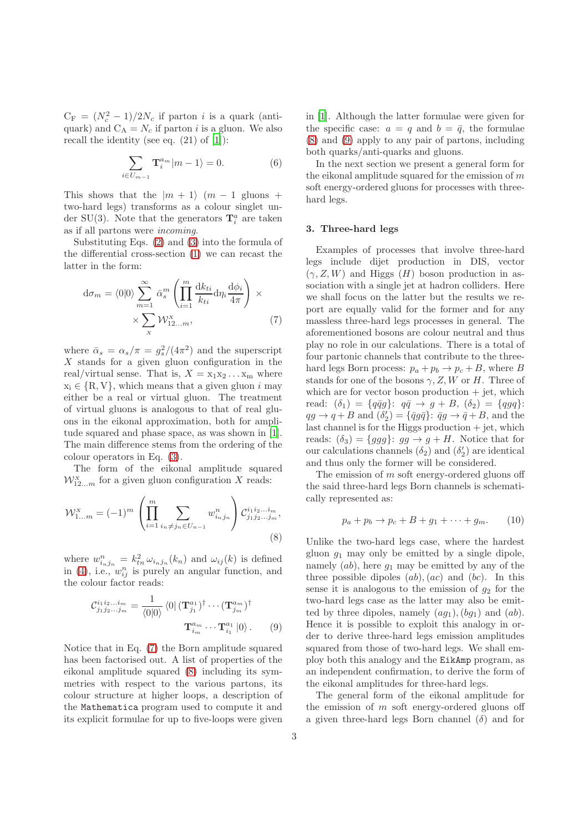$C_F = (N_c^2 - 1)/2N_c$  if parton *i* is a quark (antiquark) and  $C_A = N_c$  if parton *i* is a gluon. We also recall the identity (see eq.  $(21)$  of  $[1]$ ):

$$
\sum_{i \in U_{m-1}} \mathbf{T}_i^{a_m} |m - 1\rangle = 0.
$$
 (6)

This shows that the  $|m + 1\rangle$   $(m - 1)$  gluons + two-hard legs) transforms as a colour singlet under SU(3). Note that the generators  $\mathbf{T}_i^a$  are taken as if all partons were *incoming*.

Substituting Eqs. [\(2\)](#page-1-1) and [\(3\)](#page-1-2) into the formula of the differential cross-section [\(1\)](#page-1-3) we can recast the latter in the form:

$$
\mathrm{d}\sigma_m = \langle 0|0 \rangle \sum_{m=1}^{\infty} \bar{\alpha}_s^m \left( \prod_{i=1}^m \frac{\mathrm{d}k_{ti}}{k_{ti}} \mathrm{d}\eta_i \frac{\mathrm{d}\phi_i}{4\pi} \right) \times \times \sum_{\mathbf{x}} \mathcal{W}_{12...m}^{\mathbf{x}}, \tag{7}
$$

where  $\bar{\alpha}_s = \alpha_s/\pi = g_s^2/(4\pi^2)$  and the superscript  $X$  stands for a given gluon configuration in the real/virtual sense. That is,  $X = x_1x_2...x_m$  where  $x_i \in \{R, V\}$ , which means that a given gluon i may either be a real or virtual gluon. The treatment of virtual gluons is analogous to that of real gluons in the eikonal approximation, both for amplitude squared and phase space, as was shown in [\[1](#page-6-0)]. The main difference stems from the ordering of the colour operators in Eq. [\(3\)](#page-1-2).

The form of the eikonal amplitude squared  $\mathcal{W}_{12...m}^{X}$  for a given gluon configuration X reads:

$$
\mathcal{W}_{1...m}^{X} = (-1)^{m} \left( \prod_{i=1}^{m} \sum_{i_{n} \neq j_{n} \in U_{n-1}} w_{i_{n}j_{n}}^{n} \right) \mathcal{C}_{j_{1}j_{2}...j_{m}}^{i_{1}i_{2}...i_{m}},
$$
\n(8)

where  $w_{i_n j_n}^n = k_{tn}^2 \omega_{i_n j_n}(k_n)$  and  $\omega_{ij}(k)$  is defined in [\(4\)](#page-1-4), i.e.,  $w_{ij}^n$  is purely an angular function, and the colour factor reads:

$$
\mathcal{C}_{j_1 j_2 \dots j_m}^{i_1 i_2 \dots i_m} = \frac{1}{\langle 0|0 \rangle} \langle 0| (\mathbf{T}_{j_1}^{a_1})^{\dagger} \cdots (\mathbf{T}_{j_m}^{a_m})^{\dagger}
$$

$$
\mathbf{T}_{i_m}^{a_m} \cdots \mathbf{T}_{i_1}^{a_1} |0 \rangle. \qquad (9)
$$

Notice that in Eq. [\(7\)](#page-2-1) the Born amplitude squared has been factorised out. A list of properties of the eikonal amplitude squared [\(8\)](#page-2-2) including its symmetries with respect to the various partons, its colour structure at higher loops, a description of the Mathematica program used to compute it and its explicit formulae for up to five-loops were given in [\[1](#page-6-0)]. Although the latter formulae were given for the specific case:  $a = q$  and  $b = \bar{q}$ , the formulae [\(8\)](#page-2-2) and [\(9\)](#page-2-3) apply to any pair of partons, including both quarks/anti-quarks and gluons.

<span id="page-2-4"></span>In the next section we present a general form for the eikonal amplitude squared for the emission of  $m$ soft energy-ordered gluons for processes with threehard legs.

#### <span id="page-2-0"></span>3. Three-hard legs

<span id="page-2-1"></span>Examples of processes that involve three-hard legs include dijet production in DIS, vector  $(\gamma, Z, W)$  and Higgs  $(H)$  boson production in association with a single jet at hadron colliders. Here we shall focus on the latter but the results we report are equally valid for the former and for any massless three-hard legs processes in general. The aforementioned bosons are colour neutral and thus play no role in our calculations. There is a total of four partonic channels that contribute to the threehard legs Born process:  $p_a + p_b \rightarrow p_c + B$ , where B stands for one of the bosons  $\gamma$ , Z, W or H. Three of which are for vector boson production  $+$  jet, which read:  $(\delta_1) = \{q\bar{q}g\}$ :  $q\bar{q} \to g + B$ ,  $(\delta_2) = \{qgq\}$ :  $qg \to q + B$  and  $(\delta'_2) = {\overline{q}}g\overline{q}$ :  $\overline{q}g \to \overline{q} + B$ , and the last channel is for the Higgs production + jet, which reads:  $(\delta_3) = \{ggg\}$ :  $gg \to g + H$ . Notice that for our calculations channels  $(\delta_2)$  and  $(\delta'_2)$  are identical and thus only the former will be considered.

The emission of m soft energy-ordered gluons off the said three-hard legs Born channels is schematically represented as:

$$
p_a + p_b \rightarrow p_c + B + g_1 + \dots + g_m. \qquad (10)
$$

<span id="page-2-2"></span>Unlike the two-hard legs case, where the hardest gluon  $g_1$  may only be emitted by a single dipole, namely  $(ab)$ , here  $q_1$  may be emitted by any of the three possible dipoles  $(ab)$ ,  $(ac)$  and  $(bc)$ . In this sense it is analogous to the emission of  $g_2$  for the two-hard legs case as the latter may also be emitted by three dipoles, namely  $(aq_1)$ ,  $(bq_1)$  and  $(ab)$ . Hence it is possible to exploit this analogy in order to derive three-hard legs emission amplitudes squared from those of two-hard legs. We shall employ both this analogy and the EikAmp program, as an independent confirmation, to derive the form of the eikonal amplitudes for three-hard legs.

<span id="page-2-3"></span>The general form of the eikonal amplitude for the emission of  $m$  soft energy-ordered gluons off a given three-hard legs Born channel  $(\delta)$  and for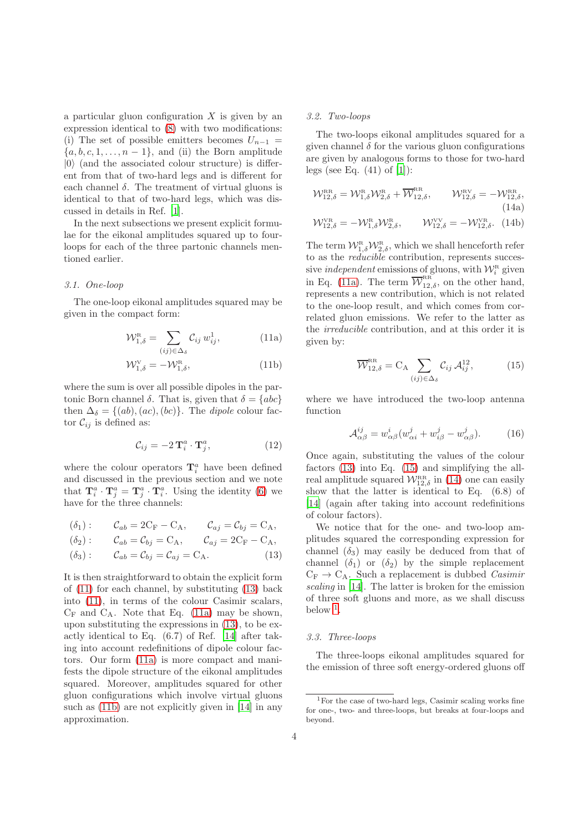a particular gluon configuration  $X$  is given by an expression identical to [\(8\)](#page-2-2) with two modifications: (i) The set of possible emitters becomes  $U_{n-1}$  =  $\{a, b, c, 1, \ldots, n-1\}$ , and (ii) the Born amplitude  $|0\rangle$  (and the associated colour structure) is different from that of two-hard legs and is different for each channel  $\delta$ . The treatment of virtual gluons is identical to that of two-hard legs, which was discussed in details in Ref. [\[1](#page-6-0)].

In the next subsections we present explicit formulae for the eikonal amplitudes squared up to fourloops for each of the three partonic channels mentioned earlier.

## *3.1. One-loop*

The one-loop eikonal amplitudes squared may be given in the compact form:

<span id="page-3-0"></span>
$$
\mathcal{W}_{1,\delta}^{\text{R}} = \sum_{(ij)\in\Delta_{\delta}} \mathcal{C}_{ij} w_{ij}^{1}, \qquad (11a)
$$

$$
\mathcal{W}_{1,\delta}^{\mathrm{V}} = -\mathcal{W}_{1,\delta}^{\mathrm{R}},\tag{11b}
$$

where the sum is over all possible dipoles in the partonic Born channel  $\delta$ . That is, given that  $\delta = \{abc\}$ then  $\Delta_{\delta} = \{(ab), (ac), (bc)\}.$  The *dipole* colour factor  $\mathcal{C}_{ij}$  is defined as:

$$
\mathcal{C}_{ij} = -2\,\mathbf{T}_i^a \cdot \mathbf{T}_j^a,\tag{12}
$$

where the colour operators  $\mathbf{T}_i^a$  have been defined and discussed in the previous section and we note that  $\mathbf{T}_i^a \cdot \mathbf{T}_j^a = \mathbf{T}_j^a \cdot \mathbf{T}_i^a$ . Using the identity [\(6\)](#page-2-4) we have for the three channels:

$$
\begin{aligned}\n(\delta_1): \qquad & \mathcal{C}_{ab} = 2\mathbf{C}_{\mathbf{F}} - \mathbf{C}_{\mathbf{A}}, \qquad & \mathcal{C}_{aj} = \mathcal{C}_{bj} = \mathbf{C}_{\mathbf{A}}, \\
(\delta_2): \qquad & \mathcal{C}_{ab} = \mathcal{C}_{bj} = \mathbf{C}_{\mathbf{A}}, \qquad & \mathcal{C}_{aj} = 2\mathbf{C}_{\mathbf{F}} - \mathbf{C}_{\mathbf{A}},\n\end{aligned}
$$

$$
(\delta_3): \qquad \mathcal{C}_{ab} = \mathcal{C}_{bj} = \mathcal{C}_{aj} = \mathcal{C}_{A}.
$$
 (13)

It is then straightforward to obtain the explicit form of [\(11\)](#page-3-0) for each channel, by substituting [\(13\)](#page-3-1) back into [\(11\)](#page-3-0), in terms of the colour Casimir scalars,  $C_F$  and  $C_A$ . Note that Eq. [\(11a\)](#page-3-2) may be shown, upon substituting the expressions in [\(13\)](#page-3-1), to be exactly identical to Eq. (6.7) of Ref. [\[14](#page-6-13)] after taking into account redefinitions of dipole colour factors. Our form [\(11a\)](#page-3-2) is more compact and manifests the dipole structure of the eikonal amplitudes squared. Moreover, amplitudes squared for other gluon configurations which involve virtual gluons such as [\(11b\)](#page-3-3) are not explicitly given in [\[14\]](#page-6-13) in any approximation.

# *3.2. Two-loops*

The two-loops eikonal amplitudes squared for a given channel  $\delta$  for the various gluon configurations are given by analogous forms to those for two-hard legs (see Eq.  $(41)$  of  $[1]$ ):

<span id="page-3-5"></span>
$$
\mathcal{W}_{12,\delta}^{\text{RR}} = \mathcal{W}_{1,\delta}^{\text{R}} \mathcal{W}_{2,\delta}^{\text{R}} + \overline{\mathcal{W}}_{12,\delta}^{\text{RR}}, \qquad \mathcal{W}_{12,\delta}^{\text{RV}} = -\mathcal{W}_{12,\delta}^{\text{RR}},
$$
\n(14a)  
\n
$$
\mathcal{W}_{12,\delta}^{\text{VR}} = -\mathcal{W}_{1,\delta}^{\text{R}} \mathcal{W}_{2,\delta}^{\text{R}}, \qquad \mathcal{W}_{12,\delta}^{\text{VV}} = -\mathcal{W}_{12,\delta}^{\text{VR}}.
$$
\n(14b)

The term  $\mathcal{W}_{1,\delta}^{R} \mathcal{W}_{2,\delta}^{R}$ , which we shall henceforth refer to as the *reducible* contribution, represents successive *independent* emissions of gluons, with  $\mathcal{W}_i^{\text{R}}$  given in Eq. [\(11a\)](#page-3-2). The term  $\overline{\mathcal{W}}_{12,\delta}^{RR}$ , on the other hand, represents a new contribution, which is not related to the one-loop result, and which comes from correlated gluon emissions. We refer to the latter as the *irreducible* contribution, and at this order it is given by:

<span id="page-3-4"></span>
$$
\overline{\mathcal{W}}_{12,\delta}^{\text{RR}} = C_{\text{A}} \sum_{(ij) \in \Delta_{\delta}} \mathcal{C}_{ij} \mathcal{A}_{ij}^{12}, \tag{15}
$$

<span id="page-3-3"></span><span id="page-3-2"></span>where we have introduced the two-loop antenna function

$$
\mathcal{A}^{ij}_{\alpha\beta} = w^i_{\alpha\beta} (w^j_{\alpha i} + w^j_{i\beta} - w^j_{\alpha\beta}).\tag{16}
$$

Once again, substituting the values of the colour factors [\(13\)](#page-3-1) into Eq. [\(15\)](#page-3-4) and simplifying the allreal amplitude squared  $\mathcal{W}_{12,\delta}^{RR}$  in [\(14\)](#page-3-5) one can easily show that the latter is identical to Eq. (6.8) of [\[14](#page-6-13)] (again after taking into account redefinitions of colour factors).

<span id="page-3-1"></span>We notice that for the one- and two-loop amplitudes squared the corresponding expression for channel  $(\delta_3)$  may easily be deduced from that of channel  $(\delta_1)$  or  $(\delta_2)$  by the simple replacement  $C_F \rightarrow C_A$ . Such a replacement is dubbed *Casimir scaling* in [\[14](#page-6-13)]. The latter is broken for the emission of three soft gluons and more, as we shall discuss below  $<sup>1</sup>$  $<sup>1</sup>$  $<sup>1</sup>$ .</sup>

#### *3.3. Three-loops*

The three-loops eikonal amplitudes squared for the emission of three soft energy-ordered gluons off

<span id="page-3-6"></span> $^1\rm{For}$  the case of two-hard legs, Casimir scaling works fine for one-, two- and three-loops, but breaks at four-loops and beyond.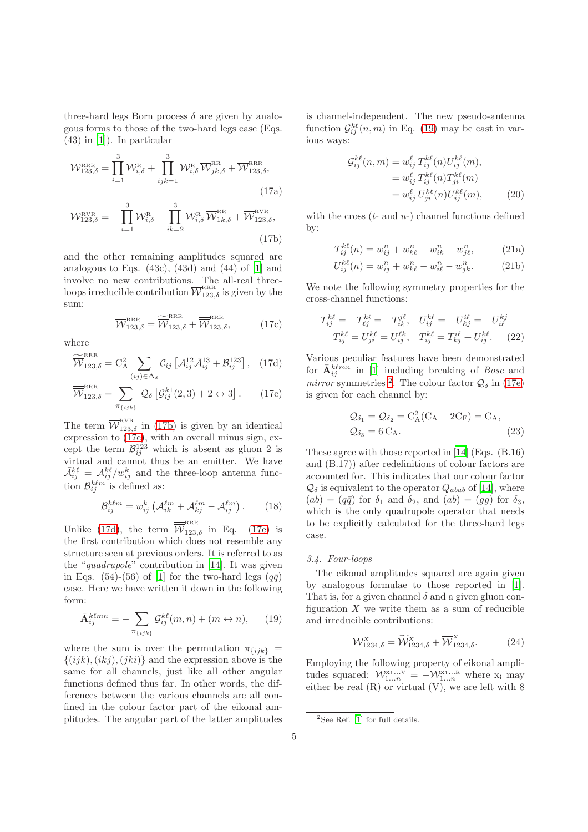three-hard legs Born process  $\delta$  are given by analogous forms to those of the two-hard legs case (Eqs. (43) in [\[1\]](#page-6-0)). In particular

$$
\mathcal{W}_{123,\delta}^{\text{RRR}} = \prod_{i=1}^{3} \mathcal{W}_{i,\delta}^{\text{R}} + \prod_{ijk=1}^{3} \mathcal{W}_{i,\delta}^{\text{R}} \overline{\mathcal{W}}_{jk,\delta}^{\text{RR}} + \overline{\mathcal{W}}_{123,\delta}^{\text{RR}},
$$
\n(17a)

$$
\mathcal{W}_{123,\delta}^{\text{RVR}} = -\prod_{i=1}^{3} \mathcal{W}_{i,\delta}^{\text{R}} - \prod_{ik=2}^{3} \mathcal{W}_{i,\delta}^{\text{R}} \overline{\mathcal{W}}_{1k,\delta}^{\text{RR}} + \overline{\mathcal{W}}_{123,\delta}^{\text{RVR}},
$$
\n(17b)

and the other remaining amplitudes squared are analogous to Eqs.  $(43c)$ ,  $(43d)$  and  $(44)$  of [\[1](#page-6-0)] and involve no new contributions. The all-real threeloops irreducible contribution  $\overline{\mathcal{W}}_{123,\delta}^{\scriptscriptstyle \mathrm{RRR}}$  is given by the sum:

$$
\overline{\mathcal{W}}_{123,\delta}^{\text{RRR}} = \widetilde{\overline{\mathcal{W}}}_{123,\delta}^{\text{RRR}} + \overline{\overline{\mathcal{W}}}_{123,\delta}^{\text{RRR}},
$$
 (17c)

where

$$
\widetilde{\overline{\mathcal{W}}}_{123,\delta}^{\text{RRR}} = \mathcal{C}_{\mathcal{A}}^2 \sum_{(ij) \in \Delta_{\delta}} \mathcal{C}_{ij} \left[ \mathcal{A}_{ij}^{12} \bar{\mathcal{A}}_{ij}^{13} + \mathcal{B}_{ij}^{123} \right], \quad (17d)
$$

$$
\overline{\overline{\mathcal{W}}}_{123,\delta}^{\text{RRR}} = \sum_{\pi_{\{ijk\}}} \mathcal{Q}_{\delta} \left[ \mathcal{G}_{ij}^{k1}(2,3) + 2 \leftrightarrow 3 \right]. \tag{17e}
$$

The term  $\overline{W}^{\text{RVR}}_{123,\delta}$  in [\(17b\)](#page-4-0) is given by an identical expression to [\(17c\)](#page-4-1), with an overall minus sign, except the term  $\mathcal{B}_{ij}^{123}$  which is absent as gluon 2 is virtual and cannot thus be an emitter. We have  $\bar{\mathcal{A}}_{ij}^{k\ell} = \mathcal{A}_{ij}^{k\ell}/w_{ij}^{k}$  and the three-loop antenna function  $\mathcal{B}_{ij}^{k\ell m}$  is defined as:

$$
\mathcal{B}_{ij}^{k\ell m} = w_{ij}^k \left( \mathcal{A}_{ik}^{\ell m} + \mathcal{A}_{kj}^{\ell m} - \mathcal{A}_{ij}^{\ell m} \right). \tag{18}
$$

Unlike [\(17d\)](#page-4-2), the term  $\overline{\overline{W}}_{123,\delta}^{RRR}$  in Eq. [\(17e\)](#page-4-3) is the first contribution which does not resemble any structure seen at previous orders. It is referred to as the "*quadrupole*" contribution in [\[14\]](#page-6-13). It was given in Eqs. (54)-(56) of [\[1\]](#page-6-0) for the two-hard legs  $(q\bar{q})$ case. Here we have written it down in the following form:

$$
\bar{\mathbf{A}}_{ij}^{k\ell mn} = -\sum_{\pi_{\{ijk\}}} \mathcal{G}_{ij}^{k\ell}(m, n) + (m \leftrightarrow n), \qquad (19)
$$

where the sum is over the permutation  $\pi_{\{ijk\}}$  =  $\{(ijk), (ikj), (jki)\}\$ and the expression above is the same for all channels, just like all other angular functions defined thus far. In other words, the differences between the various channels are all confined in the colour factor part of the eikonal amplitudes. The angular part of the latter amplitudes is channel-independent. The new pseudo-antenna function  $\mathcal{G}_{ij}^{k\ell}(n,m)$  in Eq. [\(19\)](#page-4-4) may be cast in various ways:

$$
\mathcal{G}_{ij}^{k\ell}(n,m) = w_{ij}^{\ell} T_{ij}^{k\ell}(n) U_{ij}^{k\ell}(m),
$$
  
= 
$$
w_{ij}^{\ell} T_{ij}^{k\ell}(n) T_{ji}^{k\ell}(m)
$$
  
= 
$$
w_{ij}^{\ell} U_{ji}^{k\ell}(n) U_{ij}^{k\ell}(m),
$$
 (20)

<span id="page-4-0"></span>with the cross  $(t-$  and  $u-$ ) channel functions defined by:

$$
T_{ij}^{k\ell}(n) = w_{ij}^n + w_{k\ell}^n - w_{ik}^n - w_{j\ell}^n,
$$
 (21a)

$$
U_{ij}^{k\ell}(n) = w_{ij}^n + w_{k\ell}^n - w_{i\ell}^n - w_{jk}^n.
$$
 (21b)

<span id="page-4-1"></span>We note the following symmetry properties for the cross-channel functions:

$$
T_{ij}^{k\ell} = -T_{\ell j}^{ki} = -T_{ik}^{j\ell}, \quad U_{ij}^{k\ell} = -U_{kj}^{i\ell} = -U_{i\ell}^{kj}
$$

$$
T_{ij}^{k\ell} = U_{ji}^{k\ell} = U_{ij}^{l\ell}, \quad T_{ij}^{k\ell} = T_{kj}^{i\ell} + U_{ij}^{k\ell}.
$$
 (22)

<span id="page-4-3"></span><span id="page-4-2"></span>Various peculiar features have been demonstrated for  $\bar{\mathbf{A}}_{ij}^{k\ell mn}$  in [\[1](#page-6-0)] including breaking of *Bose* and *mirror* symmetries <sup>[2](#page-4-5)</sup>. The colour factor  $\mathcal{Q}_{\delta}$  in [\(17e\)](#page-4-3) is given for each channel by:

$$
Q_{\delta_1} = Q_{\delta_2} = C_A^2 (C_A - 2C_F) = C_A,
$$
  
\n
$$
Q_{\delta_3} = 6 C_A.
$$
\n(23)

These agree with those reported in [\[14\]](#page-6-13) (Eqs. (B.16) and (B.17)) after redefinitions of colour factors are accounted for. This indicates that our colour factor  $\mathcal{Q}_{\delta}$  is equivalent to the operator  $Q_{abab}$  of [\[14](#page-6-13)], where  $(ab) = (q\bar{q})$  for  $\delta_1$  and  $\delta_2$ , and  $(ab) = (gg)$  for  $\delta_3$ , which is the only quadrupole operator that needs to be explicitly calculated for the three-hard legs case.

# *3.4. Four-loops*

<span id="page-4-4"></span>The eikonal amplitudes squared are again given by analogous formulae to those reported in [\[1](#page-6-0)]. That is, for a given channel  $\delta$  and a given gluon configuration  $X$  we write them as a sum of reducible and irreducible contributions:

$$
\mathcal{W}_{1234,\delta}^{X} = \widetilde{\mathcal{W}}_{1234,\delta}^{X} + \overline{\mathcal{W}}_{1234,\delta}^{X}.
$$
 (24)

Employing the following property of eikonal amplitudes squared:  $\mathcal{W}_{1...n}^{x_1...v} = -\mathcal{W}_{1...n}^{x_1...n}$  where  $x_i$  may either be real  $(R)$  or virtual  $(V)$ , we are left with 8

<span id="page-4-5"></span><sup>&</sup>lt;sup>2</sup>See Ref. [\[1](#page-6-0)] for full details.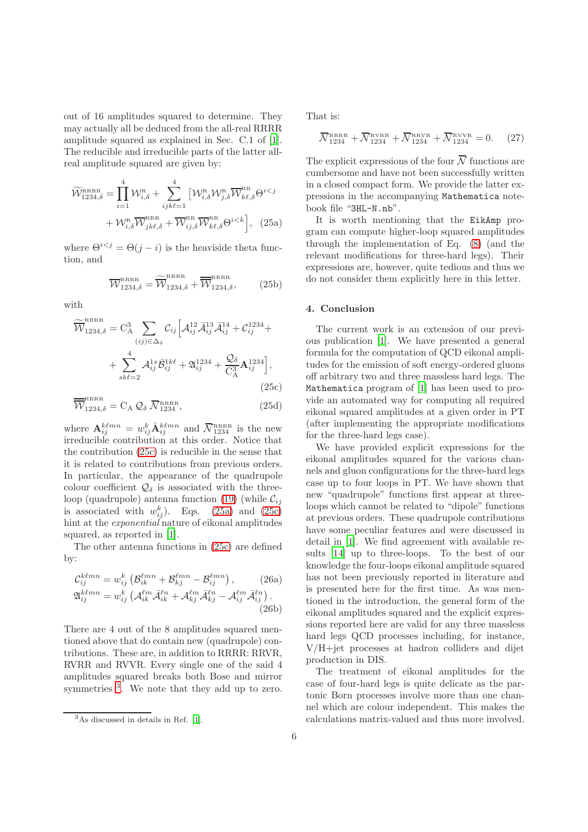out of 16 amplitudes squared to determine. They may actually all be deduced from the all-real RRRR amplitude squared as explained in Sec. C.1 of [\[1](#page-6-0)]. The reducible and irreducible parts of the latter allreal amplitude squared are given by:

$$
\widetilde{W}_{1234,\delta}^{\text{RRRR}} = \prod_{i=1}^{4} \mathcal{W}_{i,\delta}^{\text{R}} + \sum_{ijk\ell=1}^{4} \left[ \mathcal{W}_{i,\delta}^{\text{R}} \mathcal{W}_{j,\delta}^{\text{R}} \overline{\mathcal{W}}_{k\ell,\delta}^{\text{RR}} \Theta^{i
$$

where  $\Theta^{i \leq j} = \Theta(j - i)$  is the heaviside theta function, and

$$
\overline{\mathcal{W}}_{1234,\delta}^{\text{RRRR}} = \overline{\widetilde{\mathcal{W}}}_{1234,\delta}^{\text{RRRR}} + \overline{\widetilde{\mathcal{W}}}_{1234,\delta}^{\text{RRRR}},\tag{25b}
$$

with

$$
\widetilde{\overline{\mathcal{W}}}_{1234,\delta}^{\text{RRRR}} = C_{\text{A}}^{3} \sum_{(ij) \in \Delta_{\delta}} C_{ij} \left[ \mathcal{A}_{ij}^{12} \mathcal{A}_{ij}^{13} \mathcal{A}_{ij}^{14} + C_{ij}^{1234} + \right. \\
\left. + \sum_{sk\ell=2}^{4} \mathcal{A}_{ij}^{1s} \bar{\mathcal{B}}_{ij}^{1k\ell} + \mathfrak{A}_{ij}^{1234} + \frac{\mathcal{Q}_{\delta}}{C_{\text{A}}^{3}} \mathbf{A}_{ij}^{1234} \right],
$$
\n(25c)

$$
\overline{\overline{\mathcal{W}}}_{1234,\delta}^{\text{RRRR}} = C_A \mathcal{Q}_{\delta} \, \overline{\mathcal{N}}_{1234}^{\text{RRRR}},\tag{25d}
$$

where  $\mathbf{A}_{ij}^{k\ell mn} = w_{ij}^k \bar{\mathbf{A}}_{ij}^{k\ell mn}$  and  $\bar{\mathcal{N}}_{1234}^{RRRR}$  is the new irreducible contribution at this order. Notice that the contribution [\(25c\)](#page-5-1) is reducible in the sense that it is related to contributions from previous orders. In particular, the appearance of the quadrupole colour coefficient  $\mathcal{Q}_\delta$  is associated with the three-loop (quadrupole) antenna function [\(19\)](#page-4-4) (while  $\mathcal{C}_{ij}$ is associated with  $w_{ij}^k$ ). Eqs. [\(25a\)](#page-5-2) and [\(25c\)](#page-5-1) hint at the *exponential* nature of eikonal amplitudes squared, as reported in [\[1\]](#page-6-0).

The other antenna functions in [\(25c\)](#page-5-1) are defined by:

$$
\mathcal{C}_{ij}^{k\ell mn} = w_{ij}^k \left( \mathcal{B}_{ik}^{\ell mn} + \mathcal{B}_{kj}^{\ell mn} - \mathcal{B}_{ij}^{\ell mn} \right), \qquad (26a)
$$
  

$$
\mathfrak{A}_{ij}^{k\ell mn} = w_{ij}^k \left( \mathcal{A}_{ik}^{\ell m} \bar{\mathcal{A}}_{ik}^{\ell n} + \mathcal{A}_{kj}^{\ell m} \bar{\mathcal{A}}_{kj}^{\ell n} - \mathcal{A}_{ij}^{\ell m} \bar{\mathcal{A}}_{ij}^{\ell n} \right).
$$
  
(26b)

There are 4 out of the 8 amplitudes squared mentioned above that do contain new (quadrupole) contributions. These are, in addition to RRRR: RRVR, RVRR and RVVR. Every single one of the said 4 amplitudes squared breaks both Bose and mirror symmetries <sup>[3](#page-5-3)</sup>. We note that they add up to zero. That is:

$$
\overline{\mathcal{N}}_{1234}^{\text{RRRR}} + \overline{\mathcal{N}}_{1234}^{\text{RVRR}} + \overline{\mathcal{N}}_{1234}^{\text{RIVR}} + \overline{\mathcal{N}}_{1234}^{\text{RVVR}} = 0. \quad (27)
$$

The explicit expressions of the four  $\overline{\mathcal{N}}$  functions are cumbersome and have not been successfully written in a closed compact form. We provide the latter expressions in the accompanying Mathematica notebook file "3HL-N.nb".

<span id="page-5-2"></span>It is worth mentioning that the EikAmp program can compute higher-loop squared amplitudes through the implementation of Eq. [\(8\)](#page-2-2) (and the relevant modifications for three-hard legs). Their expressions are, however, quite tedious and thus we do not consider them explicitly here in this letter.

# <span id="page-5-0"></span>4. Conclusion

<span id="page-5-1"></span>The current work is an extension of our previous publication [\[1](#page-6-0)]. We have presented a general formula for the computation of QCD eikonal amplitudes for the emission of soft energy-ordered gluons off arbitrary two and three massless hard legs. The Mathematica program of [\[1\]](#page-6-0) has been used to provide an automated way for computing all required eikonal squared amplitudes at a given order in PT (after implementing the appropriate modifications for the three-hard legs case).

We have provided explicit expressions for the eikonal amplitudes squared for the various channels and gluon configurations for the three-hard legs case up to four loops in PT. We have shown that new "quadrupole" functions first appear at threeloops which cannot be related to "dipole" functions at previous orders. These quadrupole contributions have some peculiar features and were discussed in detail in [\[1](#page-6-0)]. We find agreement with available results [\[14](#page-6-13)] up to three-loops. To the best of our knowledge the four-loops eikonal amplitude squared has not been previously reported in literature and is presented here for the first time. As was mentioned in the introduction, the general form of the eikonal amplitudes squared and the explicit expressions reported here are valid for any three massless hard legs QCD processes including, for instance, V/H+jet processes at hadron colliders and dijet production in DIS.

The treatment of eikonal amplitudes for the case of four-hard legs is quite delicate as the partonic Born processes involve more than one channel which are colour independent. This makes the calculations matrix-valued and thus more involved.

<span id="page-5-3"></span><sup>3</sup>As discussed in details in Ref. [\[1\]](#page-6-0).